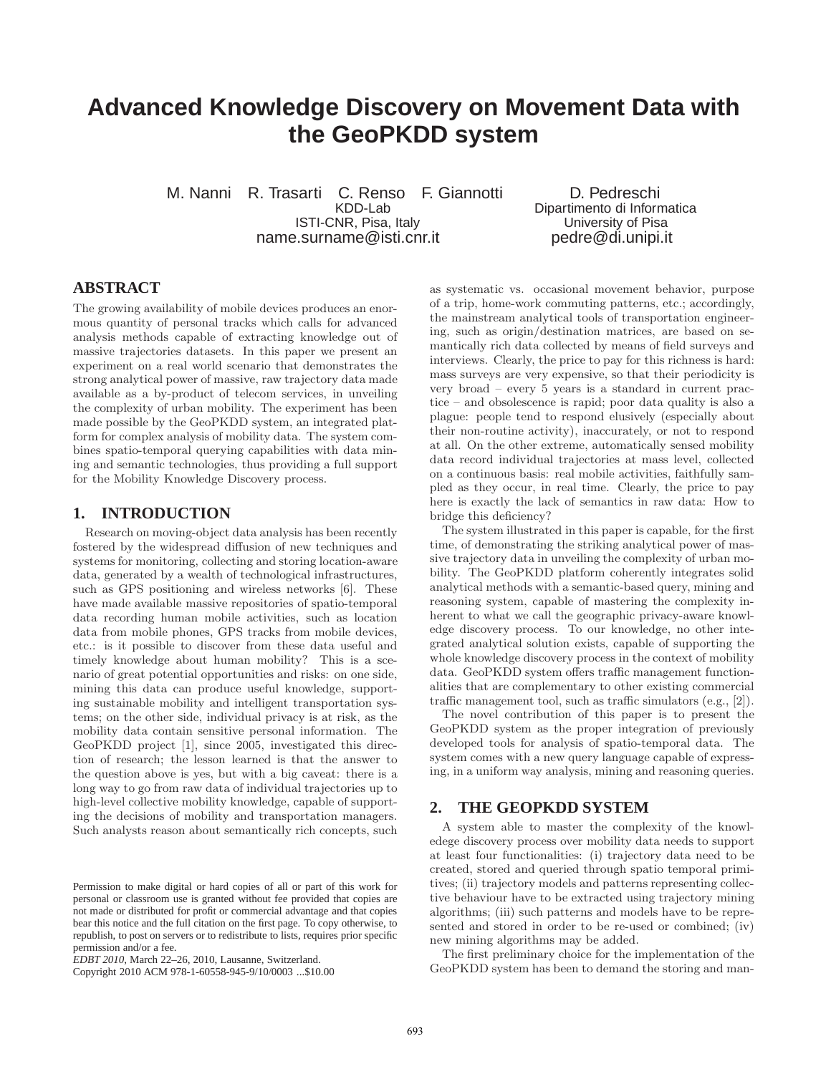# **Advanced Knowledge Discovery on Movement Data with the GeoPKDD system**

M. Nanni R. Trasarti C. Renso F. Giannotti D. Pedreschi<br>KDD-Lab Dipartimento di Inform ISTI-CNR, Pisa, Italy name.surname@isti.cnr.it pedre@di.unipi.it

Dipartimento di Informatica<br>University of Pisa

## **ABSTRACT**

The growing availability of mobile devices produces an enormous quantity of personal tracks which calls for advanced analysis methods capable of extracting knowledge out of massive trajectories datasets. In this paper we present an experiment on a real world scenario that demonstrates the strong analytical power of massive, raw trajectory data made available as a by-product of telecom services, in unveiling the complexity of urban mobility. The experiment has been made possible by the GeoPKDD system, an integrated platform for complex analysis of mobility data. The system combines spatio-temporal querying capabilities with data mining and semantic technologies, thus providing a full support for the Mobility Knowledge Discovery process.

## **1. INTRODUCTION**

Research on moving-object data analysis has been recently fostered by the widespread diffusion of new techniques and systems for monitoring, collecting and storing location-aware data, generated by a wealth of technological infrastructures, such as GPS positioning and wireless networks [6]. These have made available massive repositories of spatio-temporal data recording human mobile activities, such as location data from mobile phones, GPS tracks from mobile devices, etc.: is it possible to discover from these data useful and timely knowledge about human mobility? This is a scenario of great potential opportunities and risks: on one side, mining this data can produce useful knowledge, supporting sustainable mobility and intelligent transportation systems; on the other side, individual privacy is at risk, as the mobility data contain sensitive personal information. The GeoPKDD project [1], since 2005, investigated this direction of research; the lesson learned is that the answer to the question above is yes, but with a big caveat: there is a long way to go from raw data of individual trajectories up to high-level collective mobility knowledge, capable of supporting the decisions of mobility and transportation managers. Such analysts reason about semantically rich concepts, such

as systematic vs. occasional movement behavior, purpose of a trip, home-work commuting patterns, etc.; accordingly, the mainstream analytical tools of transportation engineering, such as origin/destination matrices, are based on semantically rich data collected by means of field surveys and interviews. Clearly, the price to pay for this richness is hard: mass surveys are very expensive, so that their periodicity is very broad – every 5 years is a standard in current practice – and obsolescence is rapid; poor data quality is also a plague: people tend to respond elusively (especially about their non-routine activity), inaccurately, or not to respond at all. On the other extreme, automatically sensed mobility data record individual trajectories at mass level, collected on a continuous basis: real mobile activities, faithfully sampled as they occur, in real time. Clearly, the price to pay here is exactly the lack of semantics in raw data: How to bridge this deficiency?

The system illustrated in this paper is capable, for the first time, of demonstrating the striking analytical power of massive trajectory data in unveiling the complexity of urban mobility. The GeoPKDD platform coherently integrates solid analytical methods with a semantic-based query, mining and reasoning system, capable of mastering the complexity inherent to what we call the geographic privacy-aware knowledge discovery process. To our knowledge, no other integrated analytical solution exists, capable of supporting the whole knowledge discovery process in the context of mobility data. GeoPKDD system offers traffic management functionalities that are complementary to other existing commercial traffic management tool, such as traffic simulators (e.g., [2]).

The novel contribution of this paper is to present the GeoPKDD system as the proper integration of previously developed tools for analysis of spatio-temporal data. The system comes with a new query language capable of expressing, in a uniform way analysis, mining and reasoning queries.

#### **2. THE GEOPKDD SYSTEM**

A system able to master the complexity of the knowledege discovery process over mobility data needs to support at least four functionalities: (i) trajectory data need to be created, stored and queried through spatio temporal primitives; (ii) trajectory models and patterns representing collective behaviour have to be extracted using trajectory mining algorithms; (iii) such patterns and models have to be represented and stored in order to be re-used or combined; (iv) new mining algorithms may be added.

The first preliminary choice for the implementation of the GeoPKDD system has been to demand the storing and man-

Permission to make digital or hard copies of all or part of this work for personal or classroom use is granted without fee provided that copies are not made or distributed for profit or commercial advantage and that copies bear this notice and the full citation on the first page. To copy otherwise, to republish, to post on servers or to redistribute to lists, requires prior specific permission and/or a fee.

*EDBT 2010*, March 22–26, 2010, Lausanne, Switzerland.

Copyright 2010 ACM 978-1-60558-945-9/10/0003 ...\$10.00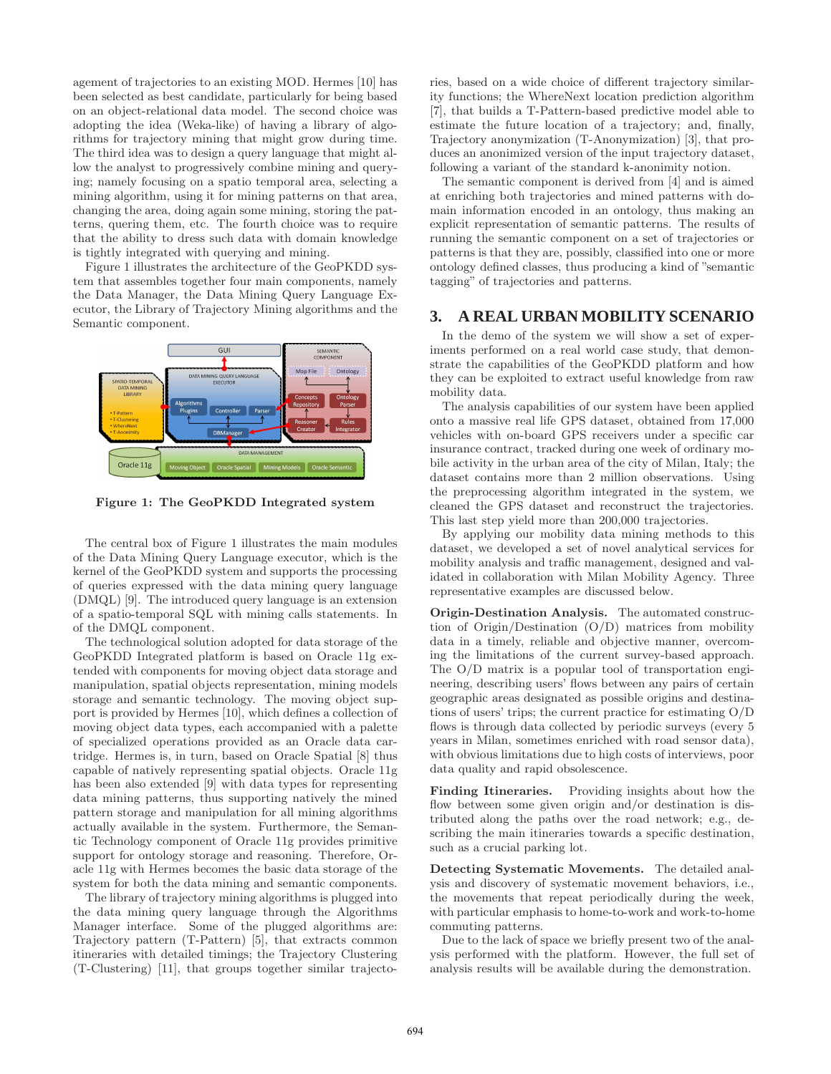agement of trajectories to an existing MOD. Hermes [10] has been selected as best candidate, particularly for being based on an object-relational data model. The second choice was adopting the idea (Weka-like) of having a library of algorithms for trajectory mining that might grow during time. The third idea was to design a query language that might allow the analyst to progressively combine mining and querying; namely focusing on a spatio temporal area, selecting a mining algorithm, using it for mining patterns on that area, changing the area, doing again some mining, storing the patterns, quering them, etc. The fourth choice was to require that the ability to dress such data with domain knowledge is tightly integrated with querying and mining.

Figure 1 illustrates the architecture of the GeoPKDD system that assembles together four main components, namely the Data Manager, the Data Mining Query Language Executor, the Library of Trajectory Mining algorithms and the Semantic component.



Figure 1: The GeoPKDD Integrated system

The central box of Figure 1 illustrates the main modules of the Data Mining Query Language executor, which is the kernel of the GeoPKDD system and supports the processing of queries expressed with the data mining query language (DMQL) [9]. The introduced query language is an extension of a spatio-temporal SQL with mining calls statements. In of the DMQL component.

The technological solution adopted for data storage of the GeoPKDD Integrated platform is based on Oracle 11g extended with components for moving object data storage and manipulation, spatial objects representation, mining models storage and semantic technology. The moving object support is provided by Hermes [10], which defines a collection of moving object data types, each accompanied with a palette of specialized operations provided as an Oracle data cartridge. Hermes is, in turn, based on Oracle Spatial [8] thus capable of natively representing spatial objects. Oracle 11g has been also extended [9] with data types for representing data mining patterns, thus supporting natively the mined pattern storage and manipulation for all mining algorithms actually available in the system. Furthermore, the Semantic Technology component of Oracle 11g provides primitive support for ontology storage and reasoning. Therefore, Oracle 11g with Hermes becomes the basic data storage of the system for both the data mining and semantic components.

The library of trajectory mining algorithms is plugged into the data mining query language through the Algorithms Manager interface. Some of the plugged algorithms are: Trajectory pattern (T-Pattern) [5], that extracts common itineraries with detailed timings; the Trajectory Clustering (T-Clustering) [11], that groups together similar trajectories, based on a wide choice of different trajectory similarity functions; the WhereNext location prediction algorithm [7], that builds a T-Pattern-based predictive model able to estimate the future location of a trajectory; and, finally, Trajectory anonymization (T-Anonymization) [3], that produces an anonimized version of the input trajectory dataset, following a variant of the standard k-anonimity notion.

The semantic component is derived from [4] and is aimed at enriching both trajectories and mined patterns with domain information encoded in an ontology, thus making an explicit representation of semantic patterns. The results of running the semantic component on a set of trajectories or patterns is that they are, possibly, classified into one or more ontology defined classes, thus producing a kind of "semantic tagging" of trajectories and patterns.

#### **3. A REAL URBAN MOBILITY SCENARIO**

In the demo of the system we will show a set of experiments performed on a real world case study, that demonstrate the capabilities of the GeoPKDD platform and how they can be exploited to extract useful knowledge from raw mobility data.

The analysis capabilities of our system have been applied onto a massive real life GPS dataset, obtained from 17,000 vehicles with on-board GPS receivers under a specific car insurance contract, tracked during one week of ordinary mobile activity in the urban area of the city of Milan, Italy; the dataset contains more than 2 million observations. Using the preprocessing algorithm integrated in the system, we cleaned the GPS dataset and reconstruct the trajectories. This last step yield more than 200,000 trajectories.

By applying our mobility data mining methods to this dataset, we developed a set of novel analytical services for mobility analysis and traffic management, designed and validated in collaboration with Milan Mobility Agency. Three representative examples are discussed below.

Origin-Destination Analysis. The automated construction of Origin/Destination (O/D) matrices from mobility data in a timely, reliable and objective manner, overcoming the limitations of the current survey-based approach. The O/D matrix is a popular tool of transportation engineering, describing users' flows between any pairs of certain geographic areas designated as possible origins and destinations of users' trips; the current practice for estimating O/D flows is through data collected by periodic surveys (every 5 years in Milan, sometimes enriched with road sensor data), with obvious limitations due to high costs of interviews, poor data quality and rapid obsolescence.

Finding Itineraries. Providing insights about how the flow between some given origin and/or destination is distributed along the paths over the road network; e.g., describing the main itineraries towards a specific destination, such as a crucial parking lot.

Detecting Systematic Movements. The detailed analysis and discovery of systematic movement behaviors, i.e., the movements that repeat periodically during the week, with particular emphasis to home-to-work and work-to-home commuting patterns.

Due to the lack of space we briefly present two of the analysis performed with the platform. However, the full set of analysis results will be available during the demonstration.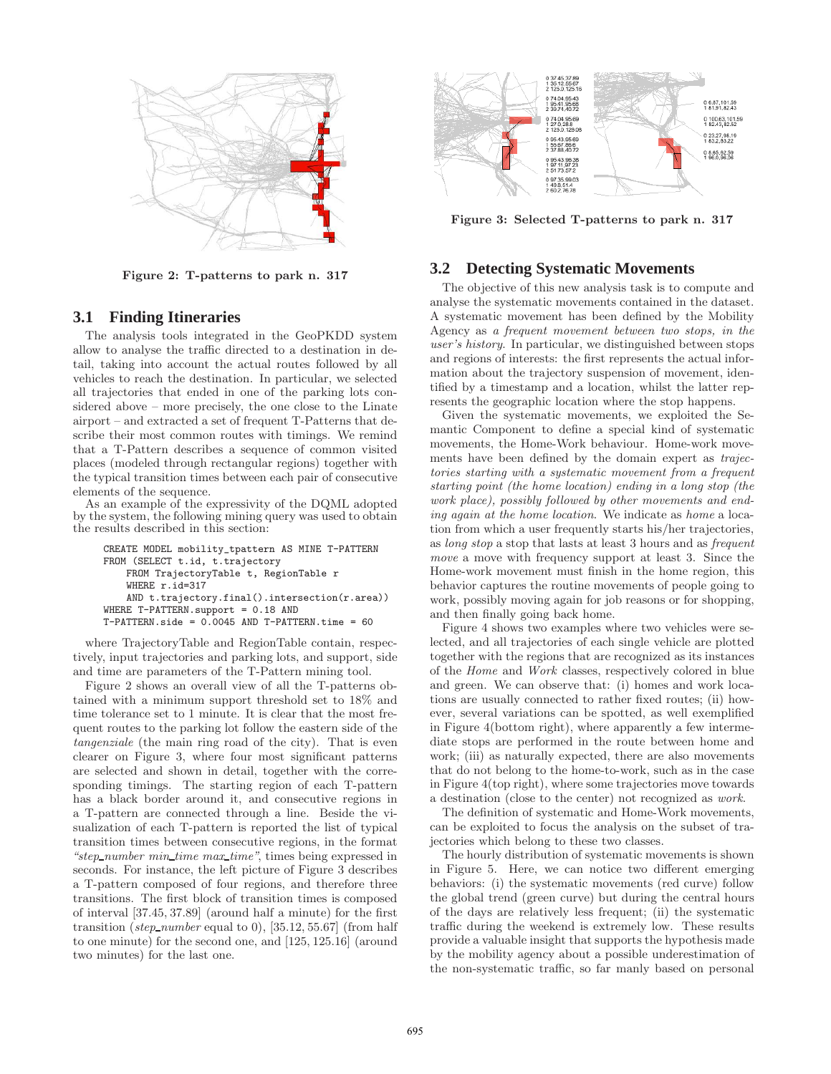

Figure 2: T-patterns to park n. 317

#### **3.1 Finding Itineraries**

The analysis tools integrated in the GeoPKDD system allow to analyse the traffic directed to a destination in detail, taking into account the actual routes followed by all vehicles to reach the destination. In particular, we selected all trajectories that ended in one of the parking lots considered above – more precisely, the one close to the Linate airport – and extracted a set of frequent T-Patterns that describe their most common routes with timings. We remind that a T-Pattern describes a sequence of common visited places (modeled through rectangular regions) together with the typical transition times between each pair of consecutive elements of the sequence.

As an example of the expressivity of the DQML adopted by the system, the following mining query was used to obtain the results described in this section:

```
CREATE MODEL mobility_tpattern AS MINE T-PATTERN
FROM (SELECT t.id, t.trajectory
    FROM TrajectoryTable t, RegionTable r
    WHERE r.id=317
    AND t.trajectory.final().intersection(r.area))
WHERE T-PATTERN.support = 0.18 AND
T-PATTERN.side = 0.0045 AND T-PATTERN.time = 60
```
where TrajectoryTable and RegionTable contain, respectively, input trajectories and parking lots, and support, side and time are parameters of the T-Pattern mining tool.

Figure 2 shows an overall view of all the T-patterns obtained with a minimum support threshold set to 18% and time tolerance set to 1 minute. It is clear that the most frequent routes to the parking lot follow the eastern side of the tangenziale (the main ring road of the city). That is even clearer on Figure 3, where four most significant patterns are selected and shown in detail, together with the corresponding timings. The starting region of each T-pattern has a black border around it, and consecutive regions in a T-pattern are connected through a line. Beside the visualization of each T-pattern is reported the list of typical transition times between consecutive regions, in the format "step number min time max time", times being expressed in seconds. For instance, the left picture of Figure 3 describes a T-pattern composed of four regions, and therefore three transitions. The first block of transition times is composed of interval [37.45, 37.89] (around half a minute) for the first transition (step\_number equal to 0), [35.12, 55.67] (from half to one minute) for the second one, and [125, 125.16] (around two minutes) for the last one.



Figure 3: Selected T-patterns to park n. 317

#### **3.2 Detecting Systematic Movements**

The objective of this new analysis task is to compute and analyse the systematic movements contained in the dataset. A systematic movement has been defined by the Mobility Agency as a frequent movement between two stops, in the user's history. In particular, we distinguished between stops and regions of interests: the first represents the actual information about the trajectory suspension of movement, identified by a timestamp and a location, whilst the latter represents the geographic location where the stop happens.

Given the systematic movements, we exploited the Semantic Component to define a special kind of systematic movements, the Home-Work behaviour. Home-work movements have been defined by the domain expert as trajectories starting with a systematic movement from a frequent starting point (the home location) ending in a long stop (the work place), possibly followed by other movements and ending again at the home location. We indicate as home a location from which a user frequently starts his/her trajectories, as long stop a stop that lasts at least 3 hours and as frequent move a move with frequency support at least 3. Since the Home-work movement must finish in the home region, this behavior captures the routine movements of people going to work, possibly moving again for job reasons or for shopping, and then finally going back home.

Figure 4 shows two examples where two vehicles were selected, and all trajectories of each single vehicle are plotted together with the regions that are recognized as its instances of the Home and Work classes, respectively colored in blue and green. We can observe that: (i) homes and work locations are usually connected to rather fixed routes; (ii) however, several variations can be spotted, as well exemplified in Figure 4(bottom right), where apparently a few intermediate stops are performed in the route between home and work; (iii) as naturally expected, there are also movements that do not belong to the home-to-work, such as in the case in Figure 4(top right), where some trajectories move towards a destination (close to the center) not recognized as work.

The definition of systematic and Home-Work movements, can be exploited to focus the analysis on the subset of trajectories which belong to these two classes.

The hourly distribution of systematic movements is shown in Figure 5. Here, we can notice two different emerging behaviors: (i) the systematic movements (red curve) follow the global trend (green curve) but during the central hours of the days are relatively less frequent; (ii) the systematic traffic during the weekend is extremely low. These results provide a valuable insight that supports the hypothesis made by the mobility agency about a possible underestimation of the non-systematic traffic, so far manly based on personal